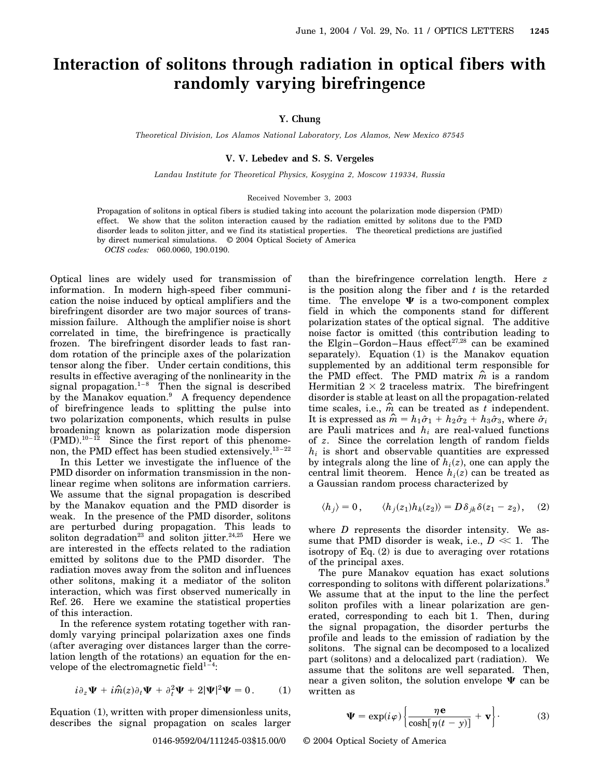# **Interaction of solitons through radiation in optical fibers with randomly varying birefringence**

## **Y. Chung**

*Theoretical Division, Los Alamos National Laboratory, Los Alamos, New Mexico 87545*

### **V. V. Lebedev and S. S. Vergeles**

*Landau Institute for Theoretical Physics, Kosygina 2, Moscow 119334, Russia*

#### Received November 3, 2003

Propagation of solitons in optical fibers is studied taking into account the polarization mode dispersion (PMD) effect. We show that the soliton interaction caused by the radiation emitted by solitons due to the PMD disorder leads to soliton jitter, and we find its statistical properties. The theoretical predictions are justified by direct numerical simulations. © 2004 Optical Society of America

*OCIS codes:* 060.0060, 190.0190.

Optical lines are widely used for transmission of information. In modern high-speed fiber communication the noise induced by optical amplifiers and the birefringent disorder are two major sources of transmission failure. Although the amplifier noise is short correlated in time, the birefringence is practically frozen. The birefringent disorder leads to fast random rotation of the principle axes of the polarization tensor along the fiber. Under certain conditions, this results in effective averaging of the nonlinearity in the signal propagation.<sup>1–8</sup> Then the signal is described by the Manakov equation.<sup>9</sup> A frequency dependence of birefringence leads to splitting the pulse into two polarization components, which results in pulse broadening known as polarization mode dispersion  $(PMD).$ <sup>10-12</sup> Since the first report of this phenomenon, the PMD effect has been studied extensively.<sup>13-22</sup>

In this Letter we investigate the influence of the PMD disorder on information transmission in the nonlinear regime when solitons are information carriers. We assume that the signal propagation is described by the Manakov equation and the PMD disorder is weak. In the presence of the PMD disorder, solitons are perturbed during propagation. This leads to soliton degradation<sup>23</sup> and soliton jitter.<sup>24,25</sup> Here we are interested in the effects related to the radiation emitted by solitons due to the PMD disorder. The radiation moves away from the soliton and inf luences other solitons, making it a mediator of the soliton interaction, which was first observed numerically in Ref. 26. Here we examine the statistical properties of this interaction.

In the reference system rotating together with randomly varying principal polarization axes one finds (after averaging over distances larger than the correlation length of the rotations) an equation for the envelope of the electromagnetic field $1-4$ :

$$
i\partial_z \Psi + i\hat{m}(z)\partial_t \Psi + \partial_t^2 \Psi + 2|\Psi|^2 \Psi = 0.
$$
 (1)

Equation (1), written with proper dimensionless units, describes the signal propagation on scales larger than the birefringence correlation length. Here *z* is the position along the fiber and *t* is the retarded time. The envelope  $\Psi$  is a two-component complex field in which the components stand for different polarization states of the optical signal. The additive noise factor is omitted (this contribution leading to the Elgin–Gordon–Haus effect $27,28$  can be examined separately). Equation (1) is the Manakov equation supplemented by an additional term responsible for the PMD effect. The PMD matrix  $\hat{m}$  is a random Hermitian  $2 \times 2$  traceless matrix. The birefringent disorder is stable at least on all the propagation-related time scales, i.e.,  $\hat{m}$  can be treated as *t* independent. It is expressed as  $\hat{m} = h_1 \hat{\sigma}_1 + h_2 \hat{\sigma}_2 + h_3 \hat{\sigma}_3$ , where  $\hat{\sigma}_i$ are Pauli matrices and *hi* are real-valued functions of *z*. Since the correlation length of random fields *hi* is short and observable quantities are expressed by integrals along the line of  $h_i(z)$ , one can apply the central limit theorem. Hence  $h_i(z)$  can be treated as a Gaussian random process characterized by

$$
\langle h_j \rangle = 0, \qquad \langle h_j(z_1) h_k(z_2) \rangle = D \delta_{jk} \delta(z_1 - z_2), \quad (2)
$$

where *D* represents the disorder intensity. We assume that PMD disorder is weak, i.e.,  $D \ll 1$ . The isotropy of Eq. (2) is due to averaging over rotations of the principal axes.

The pure Manakov equation has exact solutions corresponding to solitons with different polarizations.<sup>9</sup> We assume that at the input to the line the perfect soliton profiles with a linear polarization are generated, corresponding to each bit 1. Then, during the signal propagation, the disorder perturbs the profile and leads to the emission of radiation by the solitons. The signal can be decomposed to a localized part (solitons) and a delocalized part (radiation). We assume that the solitons are well separated. Then, near a given soliton, the solution envelope  $\Psi$  can be written as

$$
\Psi = \exp(i\varphi) \left\{ \frac{\eta \mathbf{e}}{\cosh[\eta(t - y)]} + \mathbf{v} \right\}.
$$
 (3)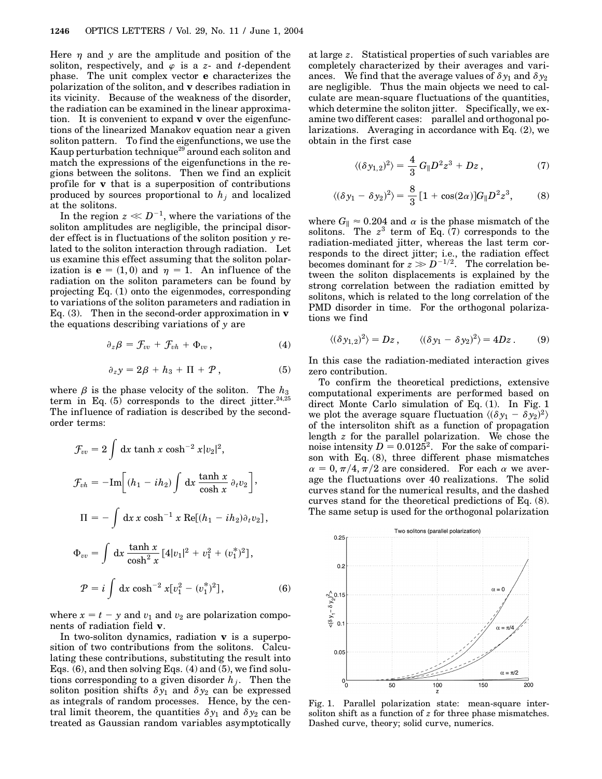Here  $\eta$  and  $\gamma$  are the amplitude and position of the soliton, respectively, and  $\varphi$  is a *z*- and *t*-dependent phase. The unit complex vector **e** characterizes the polarization of the soliton, and **v** describes radiation in its vicinity. Because of the weakness of the disorder, the radiation can be examined in the linear approximation. It is convenient to expand **v** over the eigenfunctions of the linearized Manakov equation near a given soliton pattern. To find the eigenfunctions, we use the Kaup perturbation technique<sup>29</sup> around each soliton and match the expressions of the eigenfunctions in the regions between the solitons. Then we find an explicit profile for **v** that is a superposition of contributions produced by sources proportional to  $h_i$  and localized at the solitons.

In the region  $z \ll D^{-1}$ , where the variations of the soliton amplitudes are negligible, the principal disorder effect is in fluctuations of the soliton position *y* related to the soliton interaction through radiation. Let us examine this effect assuming that the soliton polarization is  $\mathbf{e} = (1, 0)$  and  $\eta = 1$ . An influence of the radiation on the soliton parameters can be found by projecting Eq. (1) onto the eigenmodes, corresponding to variations of the soliton parameters and radiation in Eq. (3). Then in the second-order approximation in **v** the equations describing variations of *y* are

$$
\partial_z \beta = \mathcal{F}_{vv} + \mathcal{F}_{vh} + \Phi_{vv}, \qquad (4)
$$

$$
\partial_z y = 2\beta + h_3 + \Pi + \mathcal{P}, \qquad (5)
$$

where  $\beta$  is the phase velocity of the soliton. The  $h_3$ term in Eq.  $(5)$  corresponds to the direct jitter.<sup>24,25</sup> The influence of radiation is described by the secondorder terms:

$$
\mathcal{F}_{vv} = 2 \int dx \tanh x \cosh^{-2} x |v_2|^2,
$$
  
\n
$$
\mathcal{F}_{vh} = -\text{Im}\Big[ (h_1 - ih_2) \int dx \frac{\tanh x}{\cosh x} \partial_t v_2 \Big],
$$
  
\n
$$
\Pi = -\int dx \, x \cosh^{-1} x \, \text{Re}[(h_1 - ih_2) \partial_t v_2],
$$
  
\n
$$
\Phi_{vv} = \int dx \frac{\tanh x}{\cosh^2 x} [4|v_1|^2 + v_1^2 + (v_1^*)^2],
$$
  
\n
$$
\mathcal{P} = i \int dx \cosh^{-2} x [v_1^2 - (v_1^*)^2],
$$
\n(6)

where  $x = t - y$  and  $v_1$  and  $v_2$  are polarization components of radiation field **v**.

In two-soliton dynamics, radiation **v** is a superposition of two contributions from the solitons. Calculating these contributions, substituting the result into Eqs.  $(6)$ , and then solving Eqs.  $(4)$  and  $(5)$ , we find solutions corresponding to a given disorder  $h_j$ . Then the soliton position shifts  $\delta y_1$  and  $\delta y_2$  can be expressed as integrals of random processes. Hence, by the central limit theorem, the quantities  $\delta y_1$  and  $\delta y_2$  can be treated as Gaussian random variables asymptotically

at large *z*. Statistical properties of such variables are completely characterized by their averages and variances. We find that the average values of  $\delta y_1$  and  $\delta y_2$ are negligible. Thus the main objects we need to calculate are mean-square f luctuations of the quantities, which determine the soliton jitter. Specifically, we examine two different cases: parallel and orthogonal polarizations. Averaging in accordance with Eq. (2), we obtain in the first case

$$
\langle (\delta y_{1,2})^2 \rangle = \frac{4}{3} G_{\parallel} D^2 z^3 + D z \,, \tag{7}
$$

$$
\langle (\delta y_1 - \delta y_2)^2 \rangle = \frac{8}{3} \left[ 1 + \cos(2\alpha) \right] G_{\parallel} D^2 z^3, \tag{8}
$$

where  $G_{\parallel} \approx 0.204$  and  $\alpha$  is the phase mismatch of the solitons. The  $z^3$  term of Eq.  $(7)$  corresponds to the radiation-mediated jitter, whereas the last term corresponds to the direct jitter; i.e., the radiation effect becomes dominant for  $z \gg D^{-1/2}$ . The correlation between the soliton displacements is explained by the strong correlation between the radiation emitted by solitons, which is related to the long correlation of the PMD disorder in time. For the orthogonal polarizations we find

$$
\langle (\delta y_{1,2})^2 \rangle = Dz \,, \qquad \langle (\delta y_1 - \delta y_2)^2 \rangle = 4Dz \,. \tag{9}
$$

In this case the radiation-mediated interaction gives zero contribution.

To confirm the theoretical predictions, extensive computational experiments are performed based on direct Monte Carlo simulation of Eq. (1). In Fig. 1 we plot the average square fluctuation  $\langle (\delta y_1 - \delta y_2)^2 \rangle$ of the intersoliton shift as a function of propagation length *z* for the parallel polarization. We chose the noise intensity  $D = 0.0125^2$ . For the sake of comparison with Eq. (8), three different phase mismatches  $\alpha = 0, \pi/4, \pi/2$  are considered. For each  $\alpha$  we average the fluctuations over 40 realizations. The solid curves stand for the numerical results, and the dashed curves stand for the theoretical predictions of Eq. (8). The same setup is used for the orthogonal polarization



Fig. 1. Parallel polarization state: mean-square intersoliton shift as a function of *z* for three phase mismatches. Dashed curve, theory; solid curve, numerics.